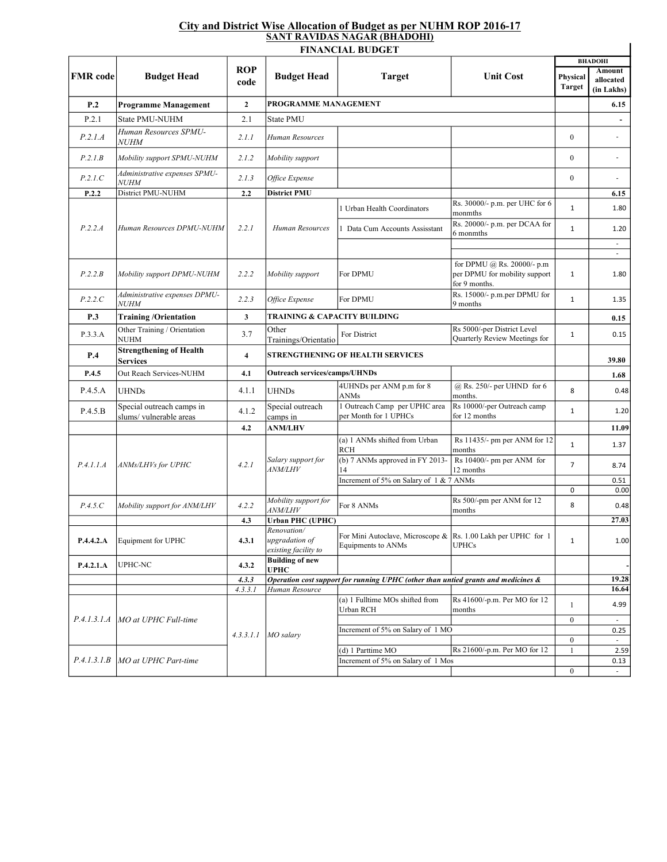## City and District Wise Allocation of Budget as per NUHM ROP 2016-17 SANT RAVIDAS NAGAR (BHADOHI)

|                 |                                                     |                         | <b>FINANCIAL BUDGET</b>                               |                                                                                     |                                                                              | <b>BHADOHI</b>            |                                   |
|-----------------|-----------------------------------------------------|-------------------------|-------------------------------------------------------|-------------------------------------------------------------------------------------|------------------------------------------------------------------------------|---------------------------|-----------------------------------|
| <b>FMR</b> code | <b>Budget Head</b>                                  | <b>ROP</b><br>code      | <b>Budget Head</b>                                    | <b>Target</b>                                                                       | <b>Unit Cost</b>                                                             | Physical<br><b>Target</b> | Amount<br>allocated<br>(in Lakhs) |
| P.2             | <b>Programme Management</b>                         | $\mathbf{2}$            | PROGRAMME MANAGEMENT                                  |                                                                                     |                                                                              |                           | 6.15                              |
| P.2.1           | State PMU-NUHM                                      | 2.1                     | <b>State PMU</b>                                      |                                                                                     |                                                                              |                           | $\overline{\phantom{a}}$          |
| P.2.1.A         | Human Resources SPMU-<br><i>NUHM</i>                | 2.1.1                   | Human Resources                                       |                                                                                     |                                                                              | $\boldsymbol{0}$          | $\sim$                            |
| P.2.1.B         | Mobility support SPMU-NUHM                          | 2.1.2                   | Mobility support                                      |                                                                                     |                                                                              | $\boldsymbol{0}$          | $\sim$                            |
| P.2.1.C         | Administrative expenses SPMU-<br><i>NUHM</i>        | 2.1.3                   | Office Expense                                        |                                                                                     |                                                                              | $\boldsymbol{0}$          |                                   |
| P.2.2           | District PMU-NUHM                                   | 2.2                     | <b>District PMU</b>                                   |                                                                                     |                                                                              |                           | 6.15                              |
|                 |                                                     |                         |                                                       | 1 Urban Health Coordinators                                                         | Rs. 30000/- p.m. per UHC for 6<br>monmths                                    | $\mathbf{1}$              | 1.80                              |
| P.2.2.A         | Human Resources DPMU-NUHM                           | 2.2.1                   | Human Resources                                       | 1 Data Cum Accounts Assisstant                                                      | Rs. 20000/- p.m. per DCAA for<br>6 monmths                                   | $\mathbf{1}$              | 1.20                              |
|                 |                                                     |                         |                                                       |                                                                                     |                                                                              |                           |                                   |
| P.2.2.B         | Mobility support DPMU-NUHM                          | 2.2.2                   | Mobility support                                      | For DPMU                                                                            | for DPMU @ Rs. 20000/- p.m<br>per DPMU for mobility support<br>for 9 months. | $\mathbf{1}$              | 1.80                              |
| P.2.2.C         | Administrative expenses DPMU-<br><i>NUHM</i>        | 2.2.3                   | Office Expense                                        | For DPMU                                                                            | Rs. 15000/- p.m.per DPMU for<br>9 months                                     | $\mathbf{1}$              | 1.35                              |
| <b>P.3</b>      | <b>Training /Orientation</b>                        | 3                       | TRAINING & CAPACITY BUILDING                          |                                                                                     |                                                                              |                           | 0.15                              |
| P.3.3.A         | Other Training / Orientation<br>NUHM                | 3.7                     | Other<br>Trainings/Orientatio                         | For District                                                                        | Rs 5000/-per District Level<br>Quarterly Review Meetings for                 | $\mathbf{1}$              | 0.15                              |
| P.4             | <b>Strengthening of Health</b><br>Services          | $\overline{\mathbf{4}}$ | <b>STRENGTHENING OF HEALTH SERVICES</b>               |                                                                                     |                                                                              |                           | 39.80                             |
| P.4.5           | Out Reach Services-NUHM                             | 4.1                     | <b>Outreach services/camps/UHNDs</b>                  |                                                                                     |                                                                              |                           | 1.68                              |
| P.4.5.A         | <b>UHNDs</b>                                        | 4.1.1                   | <b>UHNDs</b>                                          | 4UHNDs per ANM p.m for 8<br>ANMs                                                    | @ Rs. 250/- per UHND for 6<br>months.                                        | 8                         | 0.48                              |
| P.4.5.B         | Special outreach camps in<br>slums/vulnerable areas | 4.1.2                   | Special outreach<br>camps in                          | 1 Outreach Camp per UPHC area<br>per Month for 1 UPHCs                              | Rs 10000/-per Outreach camp<br>for 12 months                                 | $\mathbf{1}$              | 1.20                              |
|                 |                                                     | 4.2                     | <b>ANM/LHV</b>                                        |                                                                                     |                                                                              |                           | 11.09                             |
| P.4.1.1.A       | ANMs/LHVs for UPHC                                  | 4.2.1                   | Salary support for<br><i>ANM/LHV</i>                  | (a) 1 ANMs shifted from Urban<br><b>RCH</b>                                         | Rs 11435/- pm per ANM for 12<br>months                                       | $\mathbf{1}$              | 1.37                              |
|                 |                                                     |                         |                                                       | (b) 7 ANMs approved in FY 2013-<br>14                                               | Rs 10400/- pm per ANM for<br>12 months                                       | $\overline{7}$            | 8.74                              |
|                 |                                                     |                         |                                                       | Increment of 5% on Salary of 1 & 7 ANMs                                             |                                                                              | 0                         | 0.51<br>0.00                      |
| P.4.5.C         | Mobility support for ANM/LHV                        | 4.2.2                   | Mobility support for<br><i>ANM/LHV</i>                | For 8 ANMs                                                                          | Rs 500/-pm per ANM for 12<br>months                                          | 8                         | 0.48                              |
|                 |                                                     | 4.3                     | <b>Urban PHC (UPHC)</b>                               |                                                                                     |                                                                              |                           | 27.03                             |
| P.4.4.2.A       | Equipment for UPHC                                  | 4.3.1                   | Renovation/<br>upgradation of<br>existing facility to | For Mini Autoclave, Microscope & Rs. 1.00 Lakh per UPHC for 1<br>Equipments to ANMs | <b>UPHCs</b>                                                                 | $\mathbf{1}$              | 1.00                              |
| P.4.2.1.A       | UPHC-NC                                             | 4.3.2                   | <b>Building of new</b><br>UPHC                        |                                                                                     |                                                                              |                           |                                   |
|                 |                                                     | 4.3.3                   |                                                       | Operation cost support for running UPHC (other than untied grants and medicines &   |                                                                              |                           | 19.28                             |
|                 |                                                     | 4.3.3.1                 | Human Resource                                        |                                                                                     |                                                                              |                           | 16.64                             |
|                 | P.4.1.3.1.A   MO at UPHC Full-time                  | 4.3.3.1.1               | MO salary                                             | (a) 1 Fulltime MOs shifted from<br>Urban RCH                                        | Rs 41600/-p.m. Per MO for 12<br>months                                       | 1                         | 4.99                              |
|                 |                                                     |                         |                                                       | Increment of 5% on Salary of 1 MO                                                   |                                                                              | $\boldsymbol{0}$          | 0.25                              |
|                 |                                                     |                         |                                                       |                                                                                     |                                                                              | $\boldsymbol{0}$          | $\sim$                            |
|                 |                                                     |                         |                                                       | (d) 1 Parttime MO                                                                   | Rs 21600/-p.m. Per MO for 12                                                 | $\mathbf{1}$              | 2.59                              |
| P.4.1.3.1.B     | MO at UPHC Part-time                                |                         |                                                       | Increment of 5% on Salary of 1 Mos                                                  |                                                                              |                           | 0.13                              |
|                 |                                                     |                         |                                                       |                                                                                     |                                                                              | $\boldsymbol{0}$          |                                   |